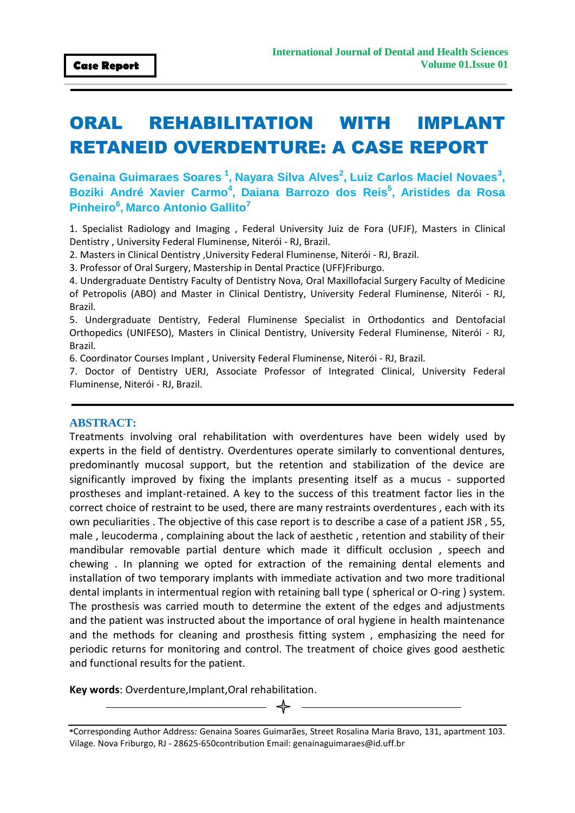# ORAL REHABILITATION WITH IMPLANT RETANEID OVERDENTURE: A CASE REPORT

**Genaina Guimaraes Soares<sup>1</sup> , Nayara Silva Alves<sup>2</sup> , Luiz Carlos Maciel Novaes<sup>3</sup> , Boziki André Xavier Carmo<sup>4</sup> , Daiana Barrozo dos Reis<sup>5</sup> , Aristides da Rosa Pinheiro<sup>6</sup> , Marco Antonio Gallito<sup>7</sup>**

1. Specialist Radiology and Imaging , Federal University Juiz de Fora (UFJF), Masters in Clinical Dentistry , University Federal Fluminense, Niterói - RJ, Brazil.

2. Masters in Clinical Dentistry ,University Federal Fluminense, Niterói - RJ, Brazil.

3. Professor of Oral Surgery, Mastership in Dental Practice (UFF)Friburgo.

4. Undergraduate Dentistry Faculty of Dentistry Nova, Oral Maxillofacial Surgery Faculty of Medicine of Petropolis (ABO) and Master in Clinical Dentistry, University Federal Fluminense, Niterói - RJ, Brazil.

5. Undergraduate Dentistry, Federal Fluminense Specialist in Orthodontics and Dentofacial Orthopedics (UNIFESO), Masters in Clinical Dentistry, University Federal Fluminense, Niterói - RJ, Brazil.

6. Coordinator Courses Implant , University Federal Fluminense, Niterói - RJ, Brazil.

7. Doctor of Dentistry UERJ, Associate Professor of Integrated Clinical, University Federal Fluminense, Niterói - RJ, Brazil.

#### **ABSTRACT:**

Treatments involving oral rehabilitation with overdentures have been widely used by experts in the field of dentistry. Overdentures operate similarly to conventional dentures, predominantly mucosal support, but the retention and stabilization of the device are significantly improved by fixing the implants presenting itself as a mucus - supported prostheses and implant-retained. A key to the success of this treatment factor lies in the correct choice of restraint to be used, there are many restraints overdentures , each with its own peculiarities . The objective of this case report is to describe a case of a patient JSR , 55, male , leucoderma , complaining about the lack of aesthetic , retention and stability of their mandibular removable partial denture which made it difficult occlusion , speech and chewing . In planning we opted for extraction of the remaining dental elements and installation of two temporary implants with immediate activation and two more traditional dental implants in intermentual region with retaining ball type ( spherical or O-ring ) system. The prosthesis was carried mouth to determine the extent of the edges and adjustments and the patient was instructed about the importance of oral hygiene in health maintenance and the methods for cleaning and prosthesis fitting system , emphasizing the need for periodic returns for monitoring and control. The treatment of choice gives good aesthetic and functional results for the patient.

**Key words**: Overdenture,Implant,Oral rehabilitation.

**<sup>\*</sup>**Corresponding Author Address*:* Genaina Soares Guimarães, Street Rosalina Maria Bravo, 131, apartment 103. Vilage. Nova Friburgo, RJ - 28625-650contribution Email: genainaguimaraes@id.uff.br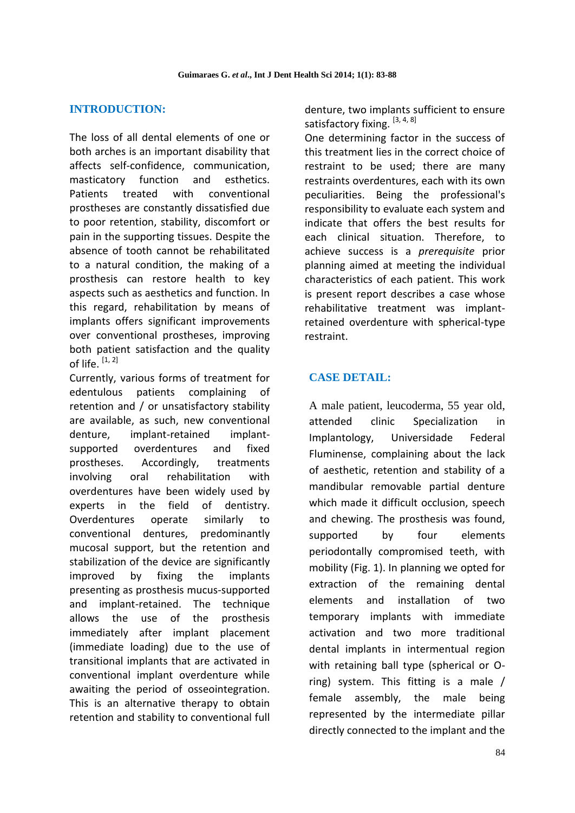# **INTRODUCTION:**

The loss of all dental elements of one or both arches is an important disability that affects self-confidence, communication, masticatory function and esthetics. Patients treated with conventional prostheses are constantly dissatisfied due to poor retention, stability, discomfort or pain in the supporting tissues. Despite the absence of tooth cannot be rehabilitated to a natural condition, the making of a prosthesis can restore health to key aspects such as aesthetics and function. In this regard, rehabilitation by means of implants offers significant improvements over conventional prostheses, improving both patient satisfaction and the quality of life.  $[1, 2]$ 

Currently, various forms of treatment for edentulous patients complaining of retention and / or unsatisfactory stability are available, as such, new conventional denture, implant-retained implantsupported overdentures and fixed prostheses. Accordingly, treatments involving oral rehabilitation with overdentures have been widely used by experts in the field of dentistry. Overdentures operate similarly to conventional dentures, predominantly mucosal support, but the retention and stabilization of the device are significantly improved by fixing the implants presenting as prosthesis mucus-supported and implant-retained. The technique allows the use of the prosthesis immediately after implant placement (immediate loading) due to the use of transitional implants that are activated in conventional implant overdenture while awaiting the period of osseointegration. This is an alternative therapy to obtain retention and stability to conventional full denture, two implants sufficient to ensure satisfactory fixing. [3, 4, 8]

One determining factor in the success of this treatment lies in the correct choice of restraint to be used; there are many restraints overdentures, each with its own peculiarities. Being the professional's responsibility to evaluate each system and indicate that offers the best results for each clinical situation. Therefore, to achieve success is a *prerequisite* prior planning aimed at meeting the individual characteristics of each patient. This work is present report describes a case whose rehabilitative treatment was implantretained overdenture with spherical-type restraint.

# **CASE DETAIL:**

A male patient, leucoderma, 55 year old, attended clinic Specialization in Implantology, Universidade Federal Fluminense, complaining about the lack of aesthetic, retention and stability of a mandibular removable partial denture which made it difficult occlusion, speech and chewing. The prosthesis was found, supported by four elements periodontally compromised teeth, with mobility (Fig. 1). In planning we opted for extraction of the remaining dental elements and installation of two temporary implants with immediate activation and two more traditional dental implants in intermentual region with retaining ball type (spherical or Oring) system. This fitting is a male / female assembly, the male being represented by the intermediate pillar directly connected to the implant and the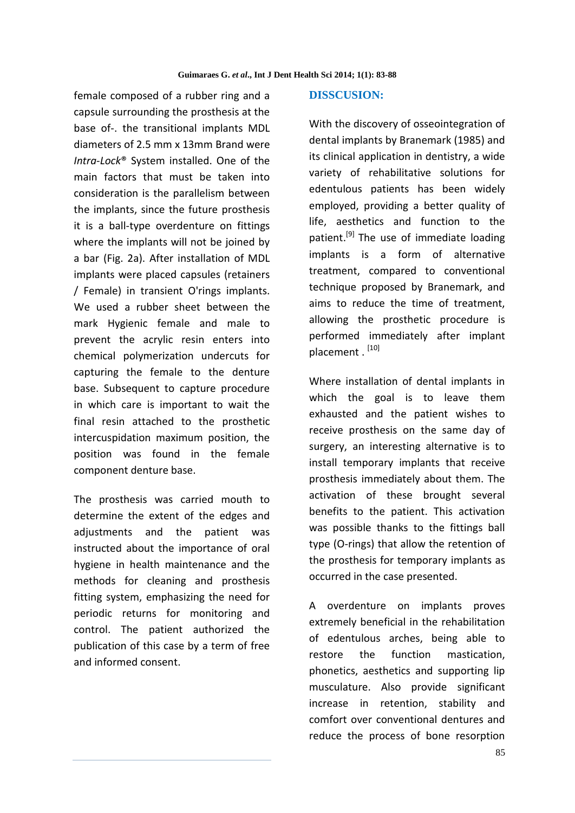female composed of a rubber ring and a capsule surrounding the prosthesis at the base of-. the transitional implants MDL diameters of 2.5 mm x 13mm Brand were *Intra*-*Lock*® System installed. One of the main factors that must be taken into consideration is the parallelism between the implants, since the future prosthesis it is a ball-type overdenture on fittings where the implants will not be joined by a bar (Fig. 2a). After installation of MDL implants were placed capsules (retainers / Female) in transient O'rings implants. We used a rubber sheet between the mark Hygienic female and male to prevent the acrylic resin enters into chemical polymerization undercuts for capturing the female to the denture base. Subsequent to capture procedure in which care is important to wait the final resin attached to the prosthetic intercuspidation maximum position, the position was found in the female component denture base.

The prosthesis was carried mouth to determine the extent of the edges and adjustments and the patient was instructed about the importance of oral hygiene in health maintenance and the methods for cleaning and prosthesis fitting system, emphasizing the need for periodic returns for monitoring and control. The patient authorized the publication of this case by a term of free and informed consent.

#### **DISSCUSION:**

With the discovery of osseointegration of dental implants by Branemark (1985) and its clinical application in dentistry, a wide variety of rehabilitative solutions for edentulous patients has been widely employed, providing a better quality of life, aesthetics and function to the patient.<sup>[9]</sup> The use of immediate loading implants is a form of alternative treatment, compared to conventional technique proposed by Branemark, and aims to reduce the time of treatment, allowing the prosthetic procedure is performed immediately after implant placement . [10]

Where installation of dental implants in which the goal is to leave them exhausted and the patient wishes to receive prosthesis on the same day of surgery, an interesting alternative is to install temporary implants that receive prosthesis immediately about them. The activation of these brought several benefits to the patient. This activation was possible thanks to the fittings ball type (O-rings) that allow the retention of the prosthesis for temporary implants as occurred in the case presented.

A overdenture on implants proves extremely beneficial in the rehabilitation of edentulous arches, being able to restore the function mastication, phonetics, aesthetics and supporting lip musculature. Also provide significant increase in retention, stability and comfort over conventional dentures and reduce the process of bone resorption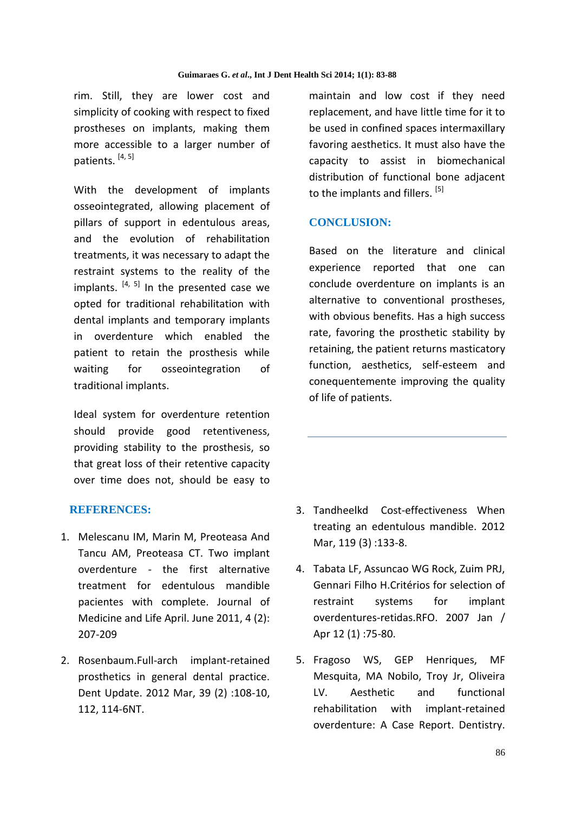rim. Still, they are lower cost and simplicity of cooking with respect to fixed prostheses on implants, making them more accessible to a larger number of patients. [4, 5]

With the development of implants osseointegrated, allowing placement of pillars of support in edentulous areas, and the evolution of rehabilitation treatments, it was necessary to adapt the restraint systems to the reality of the implants.  $[4, 5]$  In the presented case we opted for traditional rehabilitation with dental implants and temporary implants in overdenture which enabled the patient to retain the prosthesis while waiting for osseointegration of traditional implants.

Ideal system for overdenture retention should provide good retentiveness, providing stability to the prosthesis, so that great loss of their retentive capacity over time does not, should be easy to

#### **REFERENCES:**

- 1. Melescanu IM, Marin M, Preoteasa And Tancu AM, Preoteasa CT. Two implant overdenture - the first alternative treatment for edentulous mandible pacientes with complete. Journal of Medicine and Life April. June 2011, 4 (2): 207-209
- 2. Rosenbaum.Full-arch implant-retained prosthetics in general dental practice[.](http://www.ncbi.nlm.nih.gov/pubmed/22482268) [Dent Update.](http://www.ncbi.nlm.nih.gov/pubmed/22482268) 2012 Mar, 39 (2) :108-10, 112, 114-6NT.

maintain and low cost if they need replacement, and have little time for it to be used in confined spaces intermaxillary favoring aesthetics. It must also have the capacity to assist in biomechanical distribution of functional bone adjacent to the implants and fillers.<sup>[5]</sup>

#### **CONCLUSION:**

Based on the literature and clinical experience reported that one can conclude overdenture on implants is an alternative to conventional prostheses, with obvious benefits. Has a high success rate, favoring the prosthetic stability by retaining, the patient returns masticatory function, aesthetics, self-esteem and conequentemente improving the quality of life of patients.

- 3. Tandheelkd Cost-effectiveness When treating an edentulous mandible. 2012 Mar, 119 (3) :133-8.
- 4. Tabata LF, Assuncao WG Rock, Zuim PRJ, Gennari Filho H.Critérios for selection of restraint systems for implant overdentures-retidas.RFO. 2007 Jan / Apr 12 (1) :75-80.
- 5. Fragoso WS, GEP Henriques, MF Mesquita, MA Nobilo, Troy Jr, Oliveira LV. Aesthetic and functional rehabilitation with implant-retained overdenture: A Case Report. Dentistry.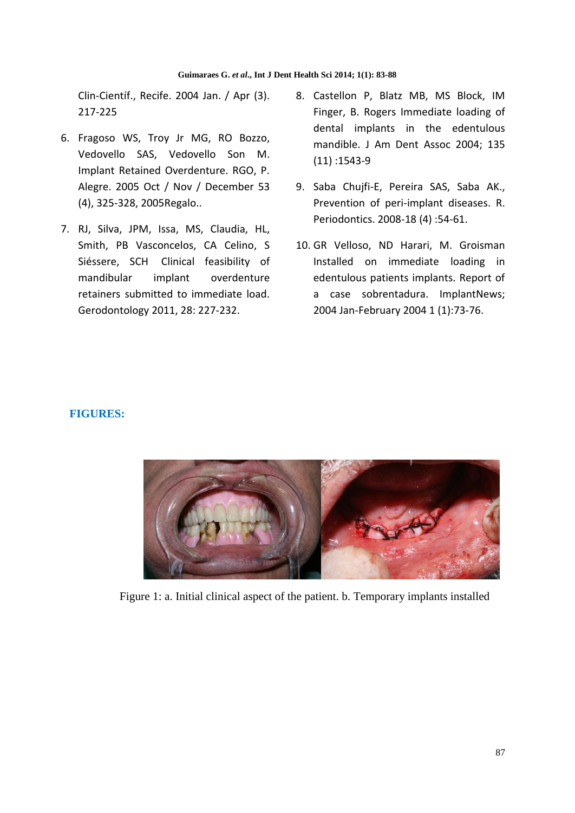Clin-Científ., Recife. 2004 Jan. / Apr (3). 217-225

- 6. Fragoso WS, Troy Jr MG, RO Bozzo, Vedovello SAS, Vedovello Son M. Implant Retained Overdenture. RGO, P. Alegre. 2005 Oct / Nov / December 53 (4), 325-328, 2005Regalo..
- 7. RJ, Silva, JPM, Issa, MS, Claudia, HL, Smith, PB Vasconcelos, CA Celino, S Siéssere, SCH Clinical feasibility of mandibular implant overdenture retainers submitted to immediate load. Gerodontology 2011, 28: 227-232.
- 8. Castellon P, Blatz MB, MS Block, IM Finger, B. Rogers Immediate loading of dental implants in the edentulous mandible. J Am Dent Assoc 2004; 135 (11) :1543-9
- 9. Saba Chujfi-E, Pereira SAS, Saba AK., Prevention of peri-implant diseases. R. Periodontics. 2008-18 (4) :54-61.
- 10. GR Velloso, ND Harari, M. Groisman Installed on immediate loading in edentulous patients implants. Report of a case sobrentadura. ImplantNews; 2004 Jan-February 2004 1 (1):73-76.

# **FIGURES:**



Figure 1: a. Initial clinical aspect of the patient. b. Temporary implants installed